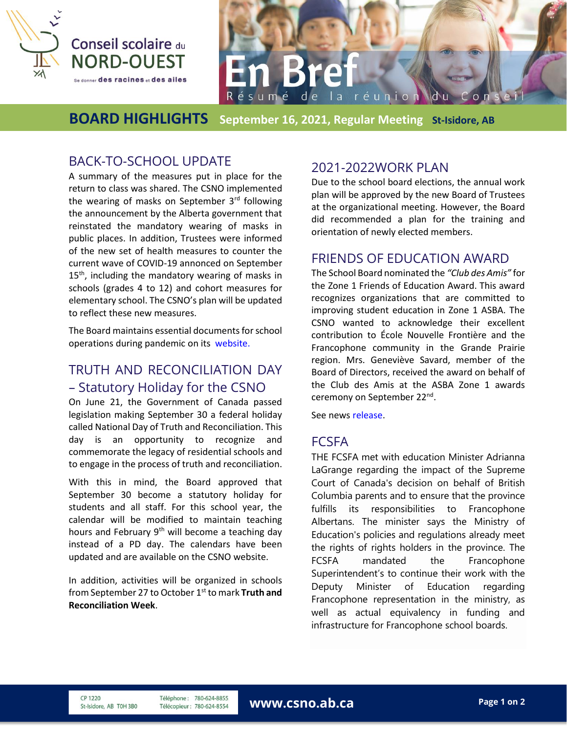



### **BOARD HIGHLIGHTS September 16, 2021, Regular Meeting St-Isidore, AB**

# BACK-TO-SCHOOL UPDATE

A summary of the measures put in place for the return to class was shared. The CSNO implemented the wearing of masks on September  $3<sup>rd</sup>$  following the announcement by the Alberta government that reinstated the mandatory wearing of masks in public places. In addition, Trustees were informed of the new set of health measures to counter the current wave of COVID-19 annonced on September  $15<sup>th</sup>$ , including the mandatory wearing of masks in schools (grades 4 to 12) and cohort measures for elementary school. The CSNO's plan will be updated to reflect these new measures.

The Board maintains essential documents for school operations during pandemic on its [website.](https://csno.ab.ca/2020/07/23/plan-de-retour-en-classe-2020-2021/)

# TRUTH AND RECONCILIATION DAY – Statutory Holiday for the CSNO

On June 21, the Government of Canada passed legislation making September 30 a federal holiday called National Day of Truth and Reconciliation. This day is an opportunity to recognize and commemorate the legacy of residential schools and to engage in the process of truth and reconciliation.

With this in mind, the Board approved that September 30 become a statutory holiday for students and all staff. For this school year, the calendar will be modified to maintain teaching hours and February 9<sup>th</sup> will become a teaching day instead of a PD day. The calendars have been updated and are available on the CSNO website.

In addition, activities will be organized in schools from September 27 to October 1<sup>st</sup> to mark **Truth and Reconciliation Week**.

## 2021-2022WORK PLAN

Due to the school board elections, the annual work plan will be approved by the new Board of Trustees at the organizational meeting. However, the Board did recommended a plan for the training and orientation of newly elected members.

### FRIENDS OF EDUCATION AWARD

The School Board nominated the *"Club des Amis"* for the Zone 1 Friends of Education Award. This award recognizes organizations that are committed to improving student education in Zone 1 ASBA. The CSNO wanted to acknowledge their excellent contribution to École Nouvelle Frontière and the Francophone community in the Grande Prairie region. Mrs. Geneviève Savard, member of the Board of Directors, received the award on behalf of the Club des Amis at the ASBA Zone 1 awards ceremony on September 22<sup>nd</sup>.

See news [release.](https://csno.ab.ca/2020/09/24/ami-de-leducation-a-la-bibliotheque-de-st-isidore/)

#### **FCSFA**

THE FCSFA met with education Minister Adrianna LaGrange regarding the impact of the Supreme Court of Canada's decision on behalf of British Columbia parents and to ensure that the province fulfills its responsibilities to Francophone Albertans. The minister says the Ministry of Education's policies and regulations already meet the rights of rights holders in the province. The FCSFA mandated the Francophone Superintendent's to continue their work with the Deputy Minister of Education regarding Francophone representation in the ministry, as well as actual equivalency in funding and infrastructure for Francophone school boards.